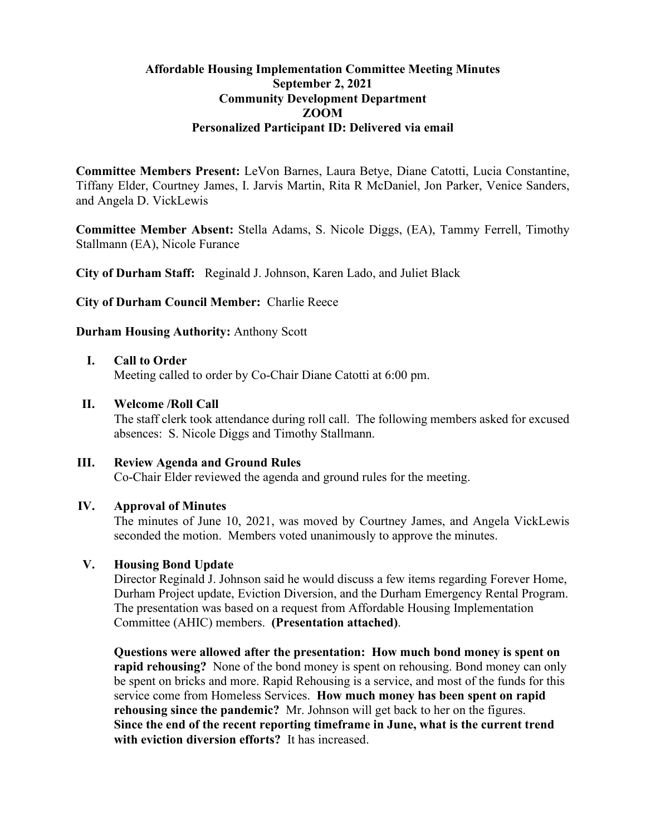## **Affordable Housing Implementation Committee Meeting Minutes September 2, 2021 Community Development Department ZOOM Personalized Participant ID: Delivered via email**

**Committee Members Present:** LeVon Barnes, Laura Betye, Diane Catotti, Lucia Constantine, Tiffany Elder, Courtney James, I. Jarvis Martin, Rita R McDaniel, Jon Parker, Venice Sanders, and Angela D. VickLewis

**Committee Member Absent:** Stella Adams, S. Nicole Diggs, (EA), Tammy Ferrell, Timothy Stallmann (EA), Nicole Furance

**City of Durham Staff:** Reginald J. Johnson, Karen Lado, and Juliet Black

**City of Durham Council Member:** Charlie Reece

## **Durham Housing Authority:** Anthony Scott

#### **I. Call to Order**

Meeting called to order by Co-Chair Diane Catotti at 6:00 pm.

### **II. Welcome /Roll Call**

The staff clerk took attendance during roll call. The following members asked for excused absences: S. Nicole Diggs and Timothy Stallmann.

# **III. Review Agenda and Ground Rules**

Co-Chair Elder reviewed the agenda and ground rules for the meeting.

### **IV. Approval of Minutes**

The minutes of June 10, 2021, was moved by Courtney James, and Angela VickLewis seconded the motion. Members voted unanimously to approve the minutes.

## **V. Housing Bond Update**

Director Reginald J. Johnson said he would discuss a few items regarding Forever Home, Durham Project update, Eviction Diversion, and the Durham Emergency Rental Program. The presentation was based on a request from Affordable Housing Implementation Committee (AHIC) members. **(Presentation attached)**.

**Questions were allowed after the presentation: How much bond money is spent on rapid rehousing?** None of the bond money is spent on rehousing. Bond money can only be spent on bricks and more. Rapid Rehousing is a service, and most of the funds for this service come from Homeless Services. **How much money has been spent on rapid rehousing since the pandemic?** Mr. Johnson will get back to her on the figures. **Since the end of the recent reporting timeframe in June, what is the current trend with eviction diversion efforts?** It has increased.